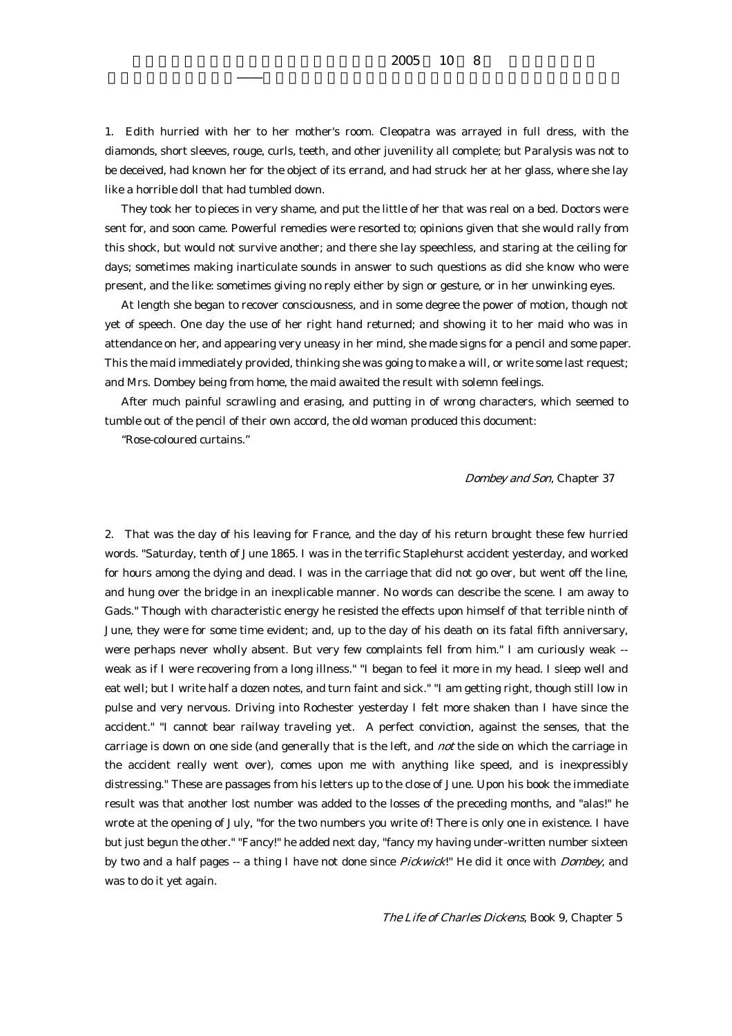## $2005$  10 8

1. Edith hurried with her to her mother's room. Cleopatra was arrayed in full dress, with the diamonds, short sleeves, rouge, curls, teeth, and other juvenility all complete; but Paralysis was not to be deceived, had known her for the object of its errand, and had struck her at her glass, where she lay like a horrible doll that had tumbled down.

 They took her to pieces in very shame, and put the little of her that was real on a bed. Doctors were sent for, and soon came. Powerful remedies were resorted to; opinions given that she would rally from this shock, but would not survive another; and there she lay speechless, and staring at the ceiling for days; sometimes making inarticulate sounds in answer to such questions as did she know who were present, and the like: sometimes giving no reply either by sign or gesture, or in her unwinking eyes.

 At length she began to recover consciousness, and in some degree the power of motion, though not yet of speech. One day the use of her right hand returned; and showing it to her maid who was in attendance on her, and appearing very uneasy in her mind, she made signs for a pencil and some paper. This the maid immediately provided, thinking she was going to make a will, or write some last request; and Mrs. Dombey being from home, the maid awaited the result with solemn feelings.

 After much painful scrawling and erasing, and putting in of wrong characters, which seemed to tumble out of the pencil of their own accord, the old woman produced this document:

"Rose-coloured curtains."

## Dombey and Son, Chapter 37

2. That was the day of his leaving for France, and the day of his return brought these few hurried words. "Saturday, tenth of June 1865. I was in the terrific Staplehurst accident yesterday, and worked for hours among the dying and dead. I was in the carriage that did not go over, but went off the line, and hung over the bridge in an inexplicable manner. No words can describe the scene. I am away to Gads." Though with characteristic energy he resisted the effects upon himself of that terrible ninth of June, they were for some time evident; and, up to the day of his death on its fatal fifth anniversary, were perhaps never wholly absent. But very few complaints fell from him." I am curiously weak - weak as if I were recovering from a long illness." "I began to feel it more in my head. I sleep well and eat well; but I write half a dozen notes, and turn faint and sick." "I am getting right, though still low in pulse and very nervous. Driving into Rochester yesterday I felt more shaken than I have since the accident." "I cannot bear railway traveling yet. A perfect conviction, against the senses, that the carriage is down on one side (and generally that is the left, and *not* the side on which the carriage in the accident really went over), comes upon me with anything like speed, and is inexpressibly distressing." These are passages from his letters up to the close of June. Upon his book the immediate result was that another lost number was added to the losses of the preceding months, and "alas!" he wrote at the opening of July, "for the two numbers you write of! There is only one in existence. I have but just begun the other." "Fancy!" he added next day, "fancy my having under-written number sixteen by two and a half pages -- a thing I have not done since *Pickwick*!" He did it once with *Dombey*, and was to do it yet again.

The Life of Charles Dickens, Book 9, Chapter 5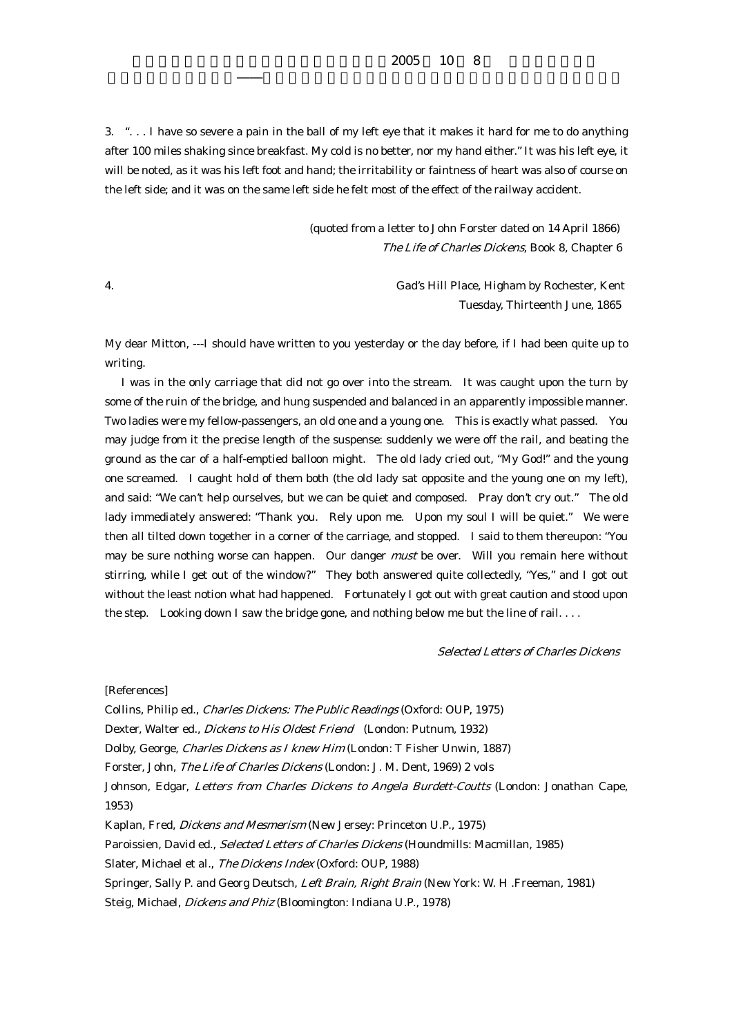$2005$  10 8

3. ". . . I have so severe a pain in the ball of my left eye that it makes it hard for me to do anything after 100 miles shaking since breakfast. My cold is no better, nor my hand either." It was his left eye, it will be noted, as it was his left foot and hand; the irritability or faintness of heart was also of course on the left side; and it was on the same left side he felt most of the effect of the railway accident.

> (quoted from a letter to John Forster dated on 14 April 1866) The Life of Charles Dickens, Book 8, Chapter 6

4. Gad's Hill Place, Higham by Rochester, Kent Tuesday, Thirteenth June, 1865

My dear Mitton, ---I should have written to you yesterday or the day before, if I had been quite up to writing.

 I was in the only carriage that did not go over into the stream. It was caught upon the turn by some of the ruin of the bridge, and hung suspended and balanced in an apparently impossible manner. Two ladies were my fellow-passengers, an old one and a young one. This is exactly what passed. You may judge from it the precise length of the suspense: suddenly we were off the rail, and beating the ground as the car of a half-emptied balloon might. The old lady cried out, "My God!" and the young one screamed. I caught hold of them both (the old lady sat opposite and the young one on my left), and said: "We can't help ourselves, but we can be quiet and composed. Pray don't cry out." The old lady immediately answered: "Thank you. Rely upon me. Upon my soul I will be quiet." We were then all tilted down together in a corner of the carriage, and stopped. I said to them thereupon: "You may be sure nothing worse can happen. Our danger *must* be over. Will you remain here without stirring, while I get out of the window?" They both answered quite collectedly, "Yes," and I got out without the least notion what had happened. Fortunately I got out with great caution and stood upon the step. Looking down I saw the bridge gone, and nothing below me but the line of rail. . . .

Selected Letters of Charles Dickens

[References]

Collins, Philip ed., Charles Dickens: The Public Readings (Oxford: OUP, 1975)

Dexter, Walter ed., *Dickens to His Oldest Friend* (London: Putnum, 1932)

Dolby, George, Charles Dickens as I knew Him (London: T Fisher Unwin, 1887)

Forster, John, The Life of Charles Dickens (London: J. M. Dent, 1969) 2 vols

Johnson, Edgar, Letters from Charles Dickens to Angela Burdett-Coutts (London: Jonathan Cape, 1953)

Kaplan, Fred, Dickens and Mesmerism (New Jersey: Princeton U.P., 1975)

Paroissien, David ed., Selected Letters of Charles Dickens (Houndmills: Macmillan, 1985)

Slater, Michael et al., The Dickens Index (Oxford: OUP, 1988)

Springer, Sally P. and Georg Deutsch, Left Brain, Right Brain (New York: W. H .Freeman, 1981)

Steig, Michael, Dickens and Phiz (Bloomington: Indiana U.P., 1978)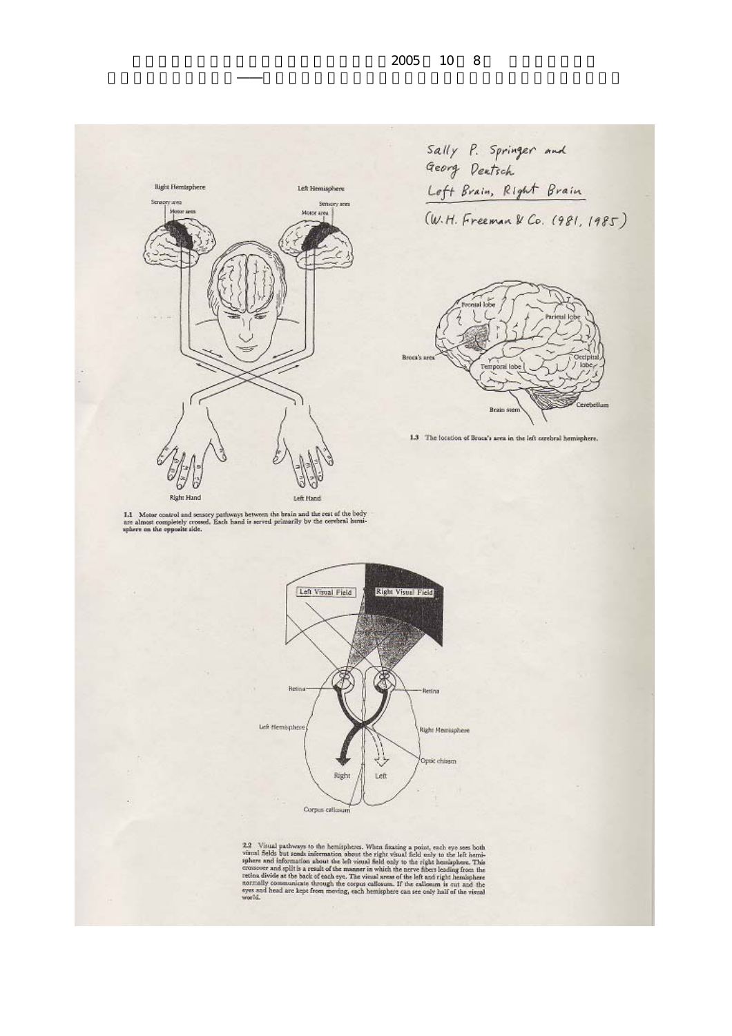Cerebellum



 $1.1$  . Motor control and sensory pathways between the brain and the rest of the body are almost completely crossed. Each band is served primarily by the cerebral humisphere on the opposite side.



2.2 Visual pathways to the hemispheres. When fixating a point, each eye sees both visual fields but sends information about the right visual field only to the left hemisphere and information about the left visual field on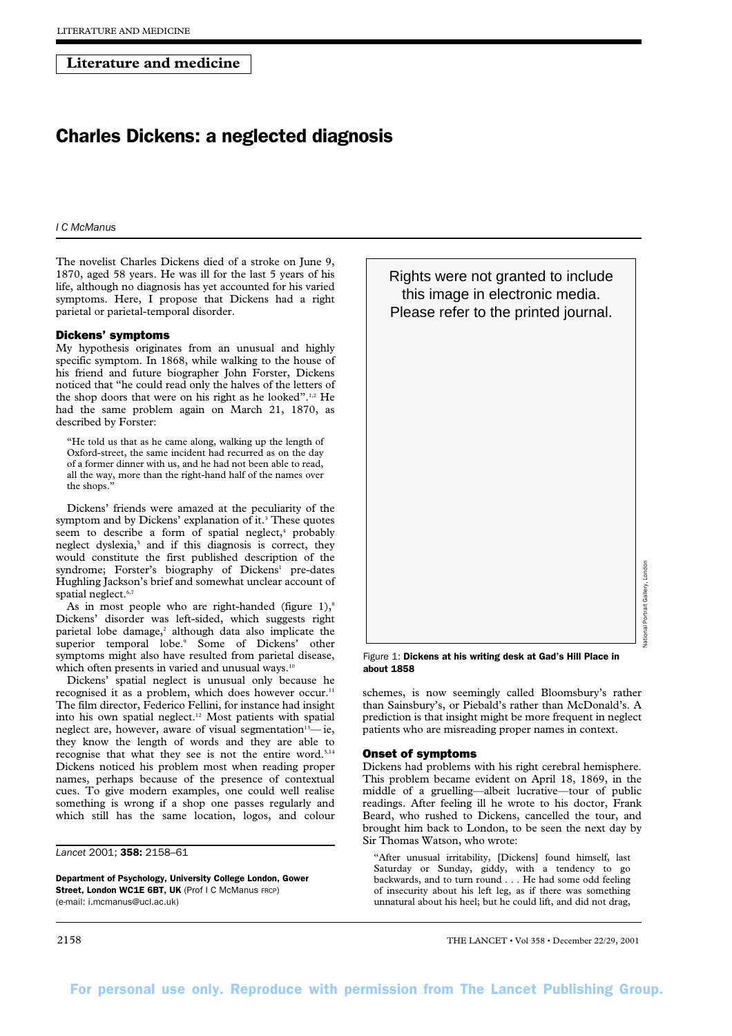# **Literature and medicine**

# Charles Dickens: a neglected diagnosis

*I C McManus* 

The novelist Charles Dickens died of a stroke on June 9, 1870, aged 58 years. He was ill for the last 5 years of his life, although no diagnosis has yet accounted for his varied symptoms. Here, I propose that Dickens had a right parietal or parietal-temporal disorder.

## Dickens' symptoms

My hypothesis originates from an unusual and highly specific symptom. In 1868, while walking to the house of his friend and future biographer John Forster, Dickens noticed that "he could read only the halves of the letters of the shop doors that were on his right as he looked".<sup>1,2</sup> He had the same problem again on March 21, 1870, as described by Forster:

"He told us that as he came along, walking up the length of Oxford-street, the same incident had recurred as on the day of a former dinner with us, and he had not been able to read, all the way, more than the right-hand half of the names over the shops."

Dickens' friends were amazed at the peculiarity of the symptom and by Dickens' explanation of it.<sup>3</sup> These quotes seem to describe a form of spatial neglect,<sup>4</sup> probably neglect dyslexia,<sup>5</sup> and if this diagnosis is correct, they would constitute the first published description of the syndrome; Forster's biography of Dickens<sup>1</sup> pre-dates Hughling Jackson's brief and somewhat unclear account of spatial neglect.<sup>6,7</sup>

As in most people who are right-handed (figure  $1$ ),<sup>8</sup> Dickens' disorder was left-sided, which suggests right parietal lobe damage, $2$  although data also implicate the superior temporal lobe.<sup>9</sup> Some of Dickens' other symptoms might also have resulted from parietal disease, which often presents in varied and unusual ways.<sup>10</sup>

Dickens' spatial neglect is unusual only because he recognised it as a problem, which does however occur.<sup>11</sup> The film director, Federico Fellini, for instance had insight into his own spatial neglect.<sup>12</sup> Most patients with spatial neglect are, however, aware of visual segmentation<sup>13</sup>-ie, they know the length of words and they are able to recognise that what they see is not the entire word.<sup>5,14</sup> Dickens noticed his problem most when reading proper names, perhaps because of the presence of contextual cues. To give modern examples, one could well realise something is wrong if a shop one passes regularly and which still has the same location, logos, and colour

*Lancet* 2001; 358: 2158–61

Department of Psychology, University College London, Gower Street, London WC1E 6BT, UK (Prof I C McManus FRCP) (e-mail: i.mcmanus@ucl.ac.uk)

Rights were not granted to include this image in electronic media. Please refer to the printed journal.

Figure 1: Dickens at his writing desk at Gad's Hill Place in about 1858

schemes, is now seemingly called Bloomsbury's rather than Sainsbury's, or Piebald's rather than McDonald's. A prediction is that insight might be more frequent in neglect patients who are misreading proper names in context.

#### Onset of symptoms

Dickens had problems with his right cerebral hemisphere. This problem became evident on April 18, 1869, in the middle of a gruelling—albeit lucrative—tour of public readings. After feeling ill he wrote to his doctor, Frank Beard, who rushed to Dickens, cancelled the tour, and brought him back to London, to be seen the next day by Sir Thomas Watson, who wrote:

"After unusual irritability, [Dickens] found himself, last Saturday or Sunday, giddy, with a tendency to go backwards, and to turn round . . . He had some odd feeling of insecurity about his left leg, as if there was something unnatural about his heel; but he could lift, and did not drag,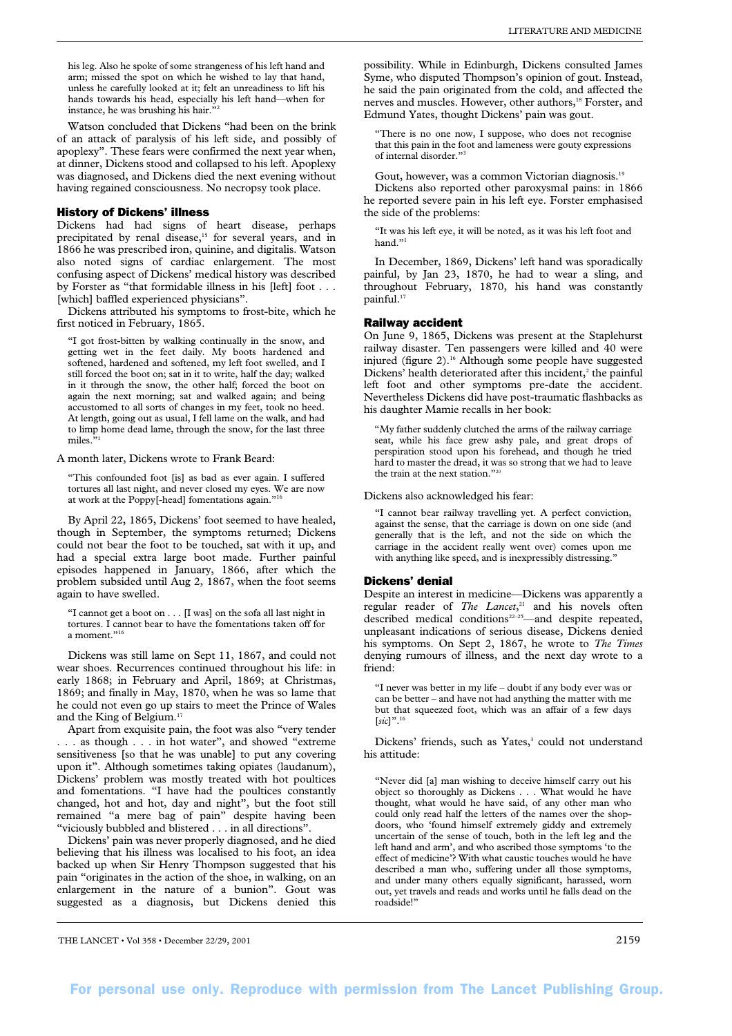his leg. Also he spoke of some strangeness of his left hand and arm; missed the spot on which he wished to lay that hand, unless he carefully looked at it; felt an unreadiness to lift his hands towards his head, especially his left hand—when for instance, he was brushing his hair."

Watson concluded that Dickens "had been on the brink of an attack of paralysis of his left side, and possibly of apoplexy". These fears were confirmed the next year when, at dinner, Dickens stood and collapsed to his left. Apoplexy was diagnosed, and Dickens died the next evening without having regained consciousness. No necropsy took place.

### History of Dickens' illness

Dickens had had signs of heart disease, perhaps precipitated by renal disease,<sup>15</sup> for several years, and in 1866 he was prescribed iron, quinine, and digitalis. Watson also noted signs of cardiac enlargement. The most confusing aspect of Dickens' medical history was described by Forster as "that formidable illness in his [left] foot . . . [which] baffled experienced physicians".

Dickens attributed his symptoms to frost-bite, which he first noticed in February, 1865.

"I got frost-bitten by walking continually in the snow, and getting wet in the feet daily. My boots hardened and softened, hardened and softened, my left foot swelled, and I still forced the boot on; sat in it to write, half the day; walked in it through the snow, the other half; forced the boot on again the next morning; sat and walked again; and being accustomed to all sorts of changes in my feet, took no heed. At length, going out as usual, I fell lame on the walk, and had to limp home dead lame, through the snow, for the last three miles<sup>3</sup>

A month later, Dickens wrote to Frank Beard:

"This confounded foot [is] as bad as ever again. I suffered tortures all last night, and never closed my eyes. We are now at work at the Poppy[-head] fomentations again."16

By April 22, 1865, Dickens' foot seemed to have healed, though in September, the symptoms returned; Dickens could not bear the foot to be touched, sat with it up, and had a special extra large boot made. Further painful episodes happened in January, 1866, after which the problem subsided until Aug 2, 1867, when the foot seems again to have swelled.

"I cannot get a boot on . . . [I was] on the sofa all last night in tortures. I cannot bear to have the fomentations taken off for a moment."<sup>1</sup>

Dickens was still lame on Sept 11, 1867, and could not wear shoes. Recurrences continued throughout his life: in early 1868; in February and April, 1869; at Christmas, 1869; and finally in May, 1870, when he was so lame that he could not even go up stairs to meet the Prince of Wales and the King of Belgium.17

Apart from exquisite pain, the foot was also "very tender . . . as though . . . in hot water", and showed "extreme sensitiveness [so that he was unable] to put any covering upon it". Although sometimes taking opiates (laudanum), Dickens' problem was mostly treated with hot poultices and fomentations. "I have had the poultices constantly changed, hot and hot, day and night", but the foot still remained "a mere bag of pain" despite having been "viciously bubbled and blistered . . . in all directions".

Dickens' pain was never properly diagnosed, and he died believing that his illness was localised to his foot, an idea backed up when Sir Henry Thompson suggested that his pain "originates in the action of the shoe, in walking, on an enlargement in the nature of a bunion". Gout was suggested as a diagnosis, but Dickens denied this

possibility. While in Edinburgh, Dickens consulted James Syme, who disputed Thompson's opinion of gout. Instead, he said the pain originated from the cold, and affected the nerves and muscles. However, other authors,<sup>18</sup> Forster, and Edmund Yates, thought Dickens' pain was gout.

"There is no one now, I suppose, who does not recognise that this pain in the foot and lameness were gouty expressions of internal disorder."3

Gout, however, was a common Victorian diagnosis.<sup>19</sup> Dickens also reported other paroxysmal pains: in 1866 he reported severe pain in his left eye. Forster emphasised the side of the problems:

"It was his left eye, it will be noted, as it was his left foot and hand."

In December, 1869, Dickens' left hand was sporadically painful, by Jan 23, 1870, he had to wear a sling, and throughout February, 1870, his hand was constantly painful.<sup>17</sup>

#### Railway accident

On June 9, 1865, Dickens was present at the Staplehurst railway disaster. Ten passengers were killed and 40 were injured (figure 2).<sup>16</sup> Although some people have suggested Dickens' health deteriorated after this incident, $2$  the painful left foot and other symptoms pre-date the accident. Nevertheless Dickens did have post-traumatic flashbacks as his daughter Mamie recalls in her book:

"My father suddenly clutched the arms of the railway carriage seat, while his face grew ashy pale, and great drops of perspiration stood upon his forehead, and though he tried hard to master the dread, it was so strong that we had to leave the train at the next station."20

Dickens also acknowledged his fear:

"I cannot bear railway travelling yet. A perfect conviction, against the sense, that the carriage is down on one side (and generally that is the left, and not the side on which the carriage in the accident really went over) comes upon me with anything like speed, and is inexpressibly distressing.'

#### Dickens' denial

Despite an interest in medicine—Dickens was apparently a regular reader of *The Lancet*, <sup>21</sup> and his novels often described medical conditions<sup>22-25</sup>—and despite repeated, unpleasant indications of serious disease, Dickens denied his symptoms. On Sept 2, 1867, he wrote to *The Times* denying rumours of illness, and the next day wrote to a friend:

"I never was better in my life – doubt if any body ever was or can be better – and have not had anything the matter with me but that squeezed foot, which was an affair of a few days [*sic*]".16

Dickens' friends, such as Yates,<sup>3</sup> could not understand his attitude:

"Never did [a] man wishing to deceive himself carry out his object so thoroughly as Dickens . . . What would he have thought, what would he have said, of any other man who could only read half the letters of the names over the shopdoors, who 'found himself extremely giddy and extremely uncertain of the sense of touch, both in the left leg and the left hand and arm', and who ascribed those symptoms 'to the effect of medicine'? With what caustic touches would he have described a man who, suffering under all those symptoms, and under many others equally significant, harassed, worn out, yet travels and reads and works until he falls dead on the roadside!"

THE LANCET • Vol 358 • December 22/29, 2001 2159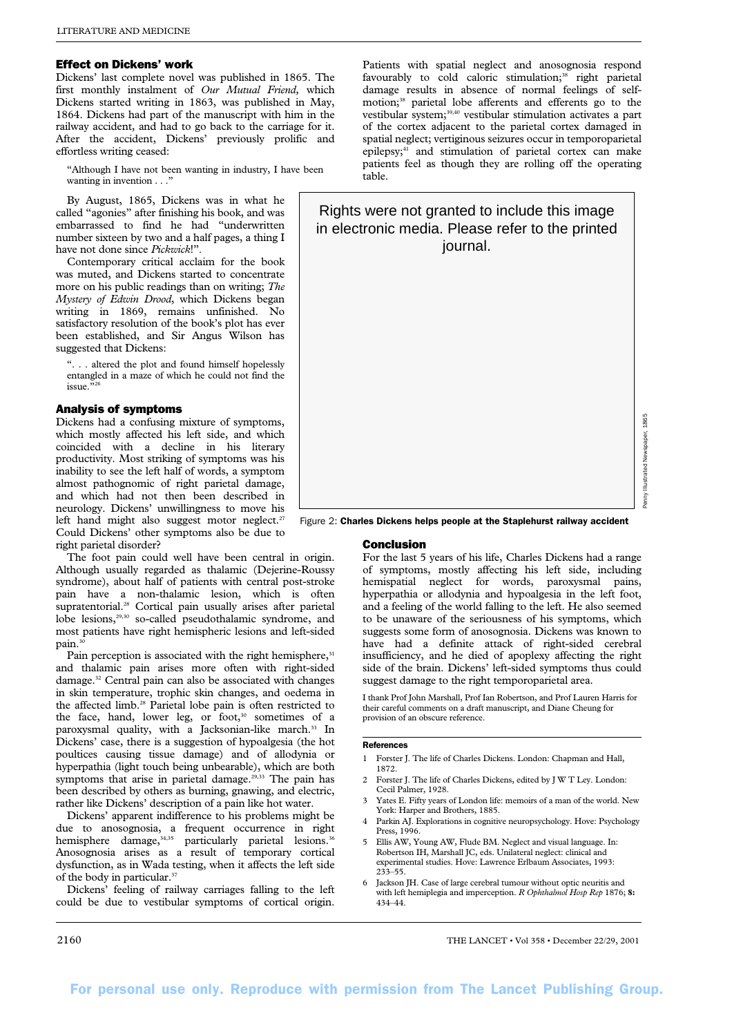## Effect on Dickens' work

Dickens' last complete novel was published in 1865. The first monthly instalment of *Our Mutual Friend,* which Dickens started writing in 1863, was published in May, 1864. Dickens had part of the manuscript with him in the railway accident, and had to go back to the carriage for it. After the accident, Dickens' previously prolific and effortless writing ceased:

"Although I have not been wanting in industry, I have been wanting in invention . . ."

By August, 1865, Dickens was in what he called "agonies" after finishing his book, and was embarrassed to find he had "underwritten number sixteen by two and a half pages, a thing I have not done since *Pickwick*!".

Contemporary critical acclaim for the book was muted, and Dickens started to concentrate more on his public readings than on writing; *The Mystery of Edwin Drood*, which Dickens began writing in 1869, remains unfinished. No satisfactory resolution of the book's plot has ever been established, and Sir Angus Wilson has suggested that Dickens:

". . . altered the plot and found himself hopelessly entangled in a maze of which he could not find the issue."

#### Analysis of symptoms

Dickens had a confusing mixture of symptoms, which mostly affected his left side, and which coincided with a decline in his literary productivity. Most striking of symptoms was his inability to see the left half of words, a symptom almost pathognomic of right parietal damage, and which had not then been described in neurology. Dickens' unwillingness to move his left hand might also suggest motor neglect.<sup>27</sup> Could Dickens' other symptoms also be due to right parietal disorder?

The foot pain could well have been central in origin. Although usually regarded as thalamic (Dejerine-Roussy syndrome), about half of patients with central post-stroke pain have a non-thalamic lesion, which is often supratentorial.<sup>28</sup> Cortical pain usually arises after parietal lobe lesions,<sup>29,30</sup> so-called pseudothalamic syndrome, and most patients have right hemispheric lesions and left-sided pain.<sup>3</sup>

Pain perception is associated with the right hemisphere,<sup>31</sup> and thalamic pain arises more often with right-sided damage.32 Central pain can also be associated with changes in skin temperature, trophic skin changes, and oedema in the affected limb.<sup>28</sup> Parietal lobe pain is often restricted to the face, hand, lower leg, or foot,<sup>30</sup> sometimes of a paroxysmal quality, with a Jacksonian-like march.<sup>33</sup> In Dickens' case, there is a suggestion of hypoalgesia (the hot poultices causing tissue damage) and of allodynia or hyperpathia (light touch being unbearable), which are both symptoms that arise in parietal damage.<sup>29,33</sup> The pain has been described by others as burning, gnawing, and electric, rather like Dickens' description of a pain like hot water.

Dickens' apparent indifference to his problems might be due to anosognosia, a frequent occurrence in right hemisphere damage,<sup>34,35</sup> particularly parietal lesions.<sup>36</sup> Anosognosia arises as a result of temporary cortical dysfunction, as in Wada testing, when it affects the left side of the body in particular.<sup>37</sup>

Dickens' feeling of railway carriages falling to the left could be due to vestibular symptoms of cortical origin.

Patients with spatial neglect and anosognosia respond favourably to cold caloric stimulation;<sup>38</sup> right parietal damage results in absence of normal feelings of selfmotion;<sup>38</sup> parietal lobe afferents and efferents go to the vestibular system;39,40 vestibular stimulation activates a part of the cortex adjacent to the parietal cortex damaged in spatial neglect; vertiginous seizures occur in temporoparietal epilepsy;<sup>41</sup> and stimulation of parietal cortex can make patients feel as though they are rolling off the operating table.

# Rights were not granted to include this image in electronic media. Please refer to the printed journal.

Figure 2: Charles Dickens helps people at the Staplehurst railway accident

#### Conclusion

For the last 5 years of his life, Charles Dickens had a range of symptoms, mostly affecting his left side, including hemispatial neglect for words, paroxysmal pains, hyperpathia or allodynia and hypoalgesia in the left foot, and a feeling of the world falling to the left. He also seemed to be unaware of the seriousness of his symptoms, which suggests some form of anosognosia. Dickens was known to have had a definite attack of right-sided cerebral insufficiency, and he died of apoplexy affecting the right side of the brain. Dickens' left-sided symptoms thus could suggest damage to the right temporoparietal area.

I thank Prof John Marshall, Prof Ian Robertson, and Prof Lauren Harris for their careful comments on a draft manuscript, and Diane Cheung for provision of an obscure reference.

## References

- 1 Forster J. The life of Charles Dickens. London: Chapman and Hall, 1872.
- 2 Forster J. The life of Charles Dickens, edited by J W T Ley. London: Cecil Palmer, 1928.
- Yates E. Fifty years of London life: memoirs of a man of the world. New York: Harper and Brothers, 1885.
- 4 Parkin AJ. Explorations in cognitive neuropsychology. Hove: Psychology Press, 1996.
- 5 Ellis AW, Young AW, Flude BM. Neglect and visual language. In: Robertson IH, Marshall JC, eds. Unilateral neglect: clinical and experimental studies. Hove: Lawrence Erlbaum Associates, 1993: 233–55.
- 6 Jackson JH. Case of large cerebral tumour without optic neuritis and with left hemiplegia and imperception. *R Ophthalmol Hosp Rep* 1876; **8:** 434–44.

2160 THE LANCET • Vol 358 • December 22/29, 2001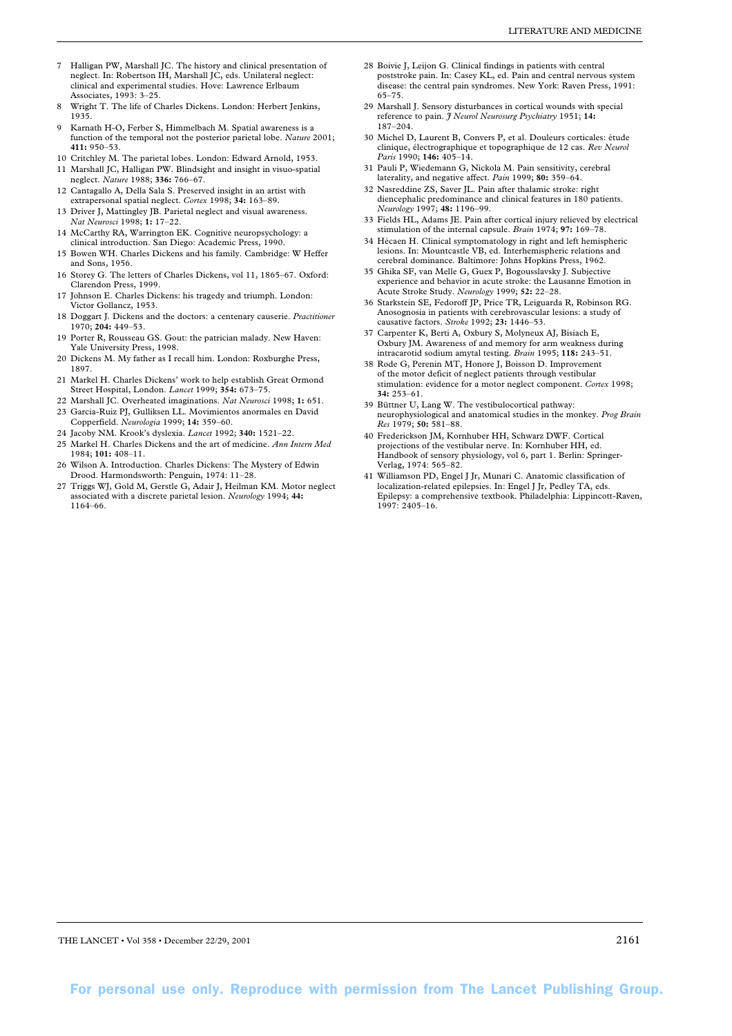- 7 Halligan PW, Marshall JC. The history and clinical presentation of neglect. In: Robertson IH, Marshall JC, eds. Unilateral neglect: clinical and experimental studies. Hove: Lawrence Erlbaum Associates, 1993: 3–25.
- Wright T. The life of Charles Dickens. London: Herbert Jenkins, 1935.
- Karnath H-O, Ferber S, Himmelbach M. Spatial awareness is a function of the temporal not the posterior parietal lobe. *Nature* 2001; **411:** 950–53.
- 10 Critchley M. The parietal lobes. London: Edward Arnold, 1953.
- 11 Marshall JC, Halligan PW. Blindsight and insight in visuo-spatial neglect. *Nature* 1988; **336:** 766–67.
- 12 Cantagallo A, Della Sala S. Preserved insight in an artist with extrapersonal spatial neglect. *Cortex* 1998; **34:** 163–89.
- 13 Driver J, Mattingley JB. Parietal neglect and visual awareness. *Nat Neurosci* 1998; **1:** 17–22.
- 14 McCarthy RA, Warrington EK. Cognitive neuropsychology: a clinical introduction. San Diego: Academic Press, 1990.
- 15 Bowen WH. Charles Dickens and his family. Cambridge: W Heffer and Sons, 1956.
- 16 Storey G. The letters of Charles Dickens, vol 11, 1865–67. Oxford: Clarendon Press, 1999.
- 17 Johnson E. Charles Dickens: his tragedy and triumph. London: Victor Gollancz, 1953.
- 18 Doggart J. Dickens and the doctors: a centenary causerie. *Practitioner* 1970; **204:** 449–53.
- 19 Porter R, Rousseau GS. Gout: the patrician malady. New Haven: Yale University Press, 1998.
- 20 Dickens M. My father as I recall him. London: Roxburghe Press, 1897.
- 21 Markel H. Charles Dickens' work to help establish Great Ormond Street Hospital, London. *Lancet* 1999; **354:** 673–75.
- 22 Marshall JC. Overheated imaginations. *Nat Neurosci* 1998; **1:** 651. 23 Garcia-Ruiz PJ, Gulliksen LL. Movimientos anormales en David
- Copperfield. *Neurologia* 1999; **14:** 359–60.
- 24 Jacoby NM. Krook's dyslexia. *Lancet* 1992; **340:** 1521–22.
- 25 Markel H. Charles Dickens and the art of medicine. *Ann Intern Med* 1984; **101:** 408–11.
- 26 Wilson A. Introduction. Charles Dickens: The Mystery of Edwin Drood. Harmondsworth: Penguin, 1974: 11–28.
- 27 Triggs WJ, Gold M, Gerstle G, Adair J, Heilman KM. Motor neglect associated with a discrete parietal lesion. *Neurology* 1994; **44:** 1164–66.
- LITERATURE AND MEDICINE
- 28 Boivie J, Leijon G. Clinical findings in patients with central poststroke pain. In: Casey KL, ed. Pain and central nervous system disease: the central pain syndromes. New York: Raven Press, 1991: 65–75.
- 29 Marshall J. Sensory disturbances in cortical wounds with special reference to pain. *J Neurol Neurosurg Psychiatry* 1951; **14:** 187–204.
- 30 Michel D, Laurent B, Convers P, et al. Douleurs corticales: étude clinique, électrographique et topographique de 12 cas. *Rev Neurol Paris* 1990; **146:** 405–14.
- 31 Pauli P, Wiedemann G, Nickola M. Pain sensitivity, cerebral laterality, and negative affect. *Pain* 1999; **80:** 359–64.
- 32 Nasreddine ZS, Saver JL. Pain after thalamic stroke: right diencephalic predominance and clinical features in 180 patients. *Neurology* 1997; **48:** 1196–99.
- 33 Fields HL, Adams JE. Pain after cortical injury relieved by electrical stimulation of the internal capsule. *Brain* 1974; **97:** 169–78.
- 34 Hécaen H. Clinical symptomatology in right and left hemispheric lesions. In: Mountcastle VB, ed. Interhemispheric relations and cerebral dominance. Baltimore: Johns Hopkins Press, 1962.
- 35 Ghika SF, van Melle G, Guex P, Bogousslavsky J. Subjective experience and behavior in acute stroke: the Lausanne Emotion in Acute Stroke Study. *Neurology* 1999; **52:** 22–28.
- 36 Starkstein SE, Fedoroff JP, Price TR, Leiguarda R, Robinson RG. Anosognosia in patients with cerebrovascular lesions: a study of causative factors. *Stroke* 1992; **23:** 1446–53.
- 37 Carpenter K, Berti A, Oxbury S, Molyneux AJ, Bisiach E, Oxbury JM. Awareness of and memory for arm weakness during intracarotid sodium amytal testing. *Brain* 1995; **118:** 243–51.
- 38 Rode G, Perenin MT, Honore J, Boisson D. Improvement of the motor deficit of neglect patients through vestibular stimulation: evidence for a motor neglect component. *Cortex* 1998; **34:** 253–61.
- 39 Büttner U, Lang W. The vestibulocortical pathway: neurophysiological and anatomical studies in the monkey. *Prog Brain Res* 1979; **50:** 581–88.
- 40 Frederickson JM, Kornhuber HH, Schwarz DWF. Cortical projections of the vestibular nerve. In: Kornhuber HH, ed. Handbook of sensory physiology, vol 6, part 1. Berlin: Springer-Verlag, 1974: 565–82.
- 41 Williamson PD, Engel J Jr, Munari C. Anatomic classification of localization-related epilepsies. In: Engel J Jr, Pedley TA, eds. Epilepsy: a comprehensive textbook. Philadelphia: Lippincott-Raven, 1997: 2405–16.